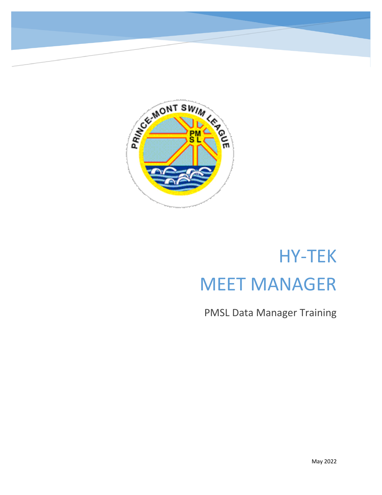

# HY-TEK MEET MANAGER

PMSL Data Manager Training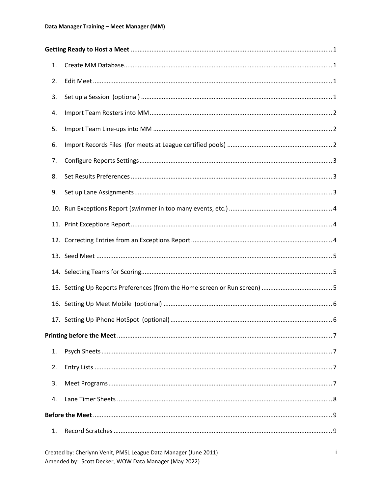| 1. |  |
|----|--|
| 2. |  |
| 3. |  |
| 4. |  |
| 5. |  |
| 6. |  |
| 7. |  |
| 8. |  |
| 9. |  |
|    |  |
|    |  |
|    |  |
|    |  |
|    |  |
|    |  |
|    |  |
|    |  |
|    |  |
|    |  |
| 1. |  |
| 2. |  |
| 3. |  |
| 4. |  |
|    |  |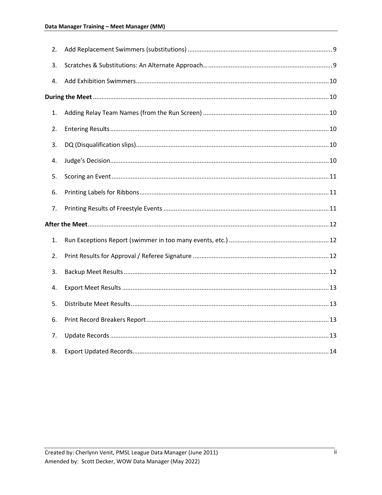| 2. |  |
|----|--|
| 3. |  |
| 4. |  |
|    |  |
| 1. |  |
| 2. |  |
| 3. |  |
| 4. |  |
| 5. |  |
| 6. |  |
| 7. |  |
|    |  |
| 1. |  |
| 2. |  |
| 3. |  |
| 4. |  |
| 5. |  |
| 6. |  |
| 7. |  |
| 8. |  |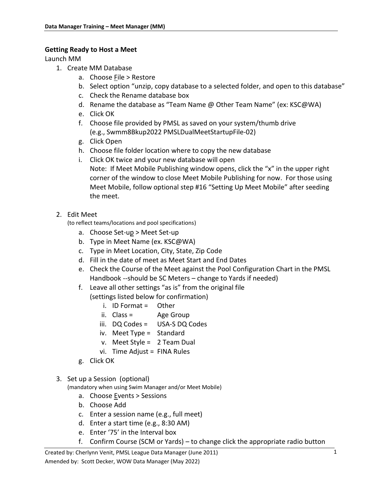### <span id="page-3-0"></span>**Getting Ready to Host a Meet**

<span id="page-3-1"></span>Launch MM

- 1. Create MM Database
	- a. Choose File > Restore
	- b. Select option "unzip, copy database to a selected folder, and open to this database"
	- c. Check the Rename database box
	- d. Rename the database as "Team Name @ Other Team Name" (ex: KSC@WA)
	- e. Click OK
	- f. Choose file provided by PMSL as saved on your system/thumb drive (e.g., Swmm8Bkup2022 PMSLDualMeetStartupFile-02)
	- g. Click Open
	- h. Choose file folder location where to copy the new database
	- i. Click OK twice and your new database will open Note: If Meet Mobile Publishing window opens, click the "x" in the upper right corner of the window to close Meet Mobile Publishing for now. For those using Meet Mobile, follow optional step #16 "Setting Up Meet Mobile" after seeding the meet.

## <span id="page-3-2"></span>2. Edit Meet

(to reflect teams/locations and pool specifications)

- a. Choose Set-up > Meet Set-up
- b. Type in Meet Name (ex. KSC@WA)
- c. Type in Meet Location, City, State, Zip Code
- d. Fill in the date of meet as Meet Start and End Dates
- e. Check the Course of the Meet against the Pool Configuration Chart in the PMSL Handbook --should be SC Meters – change to Yards if needed)
- f. Leave all other settings "as is" from the original file
	- (settings listed below for confirmation)
		- i. ID Format = Other
		- ii. Class = Age Group
		- iii. DQ Codes = USA-S DQ Codes
		- iv. Meet Type = Standard
		- v. Meet Style = 2 Team Dual
		- vi. Time Adjust = FINA Rules
- g. Click OK

### <span id="page-3-3"></span>3. Set up a Session (optional)

(mandatory when using Swim Manager and/or Meet Mobile)

- a. Choose Events > Sessions
- b. Choose Add
- c. Enter a session name (e.g., full meet)
- d. Enter a start time (e.g., 8:30 AM)
- e. Enter '75' in the Interval box
- f. Confirm Course (SCM or Yards) to change click the appropriate radio button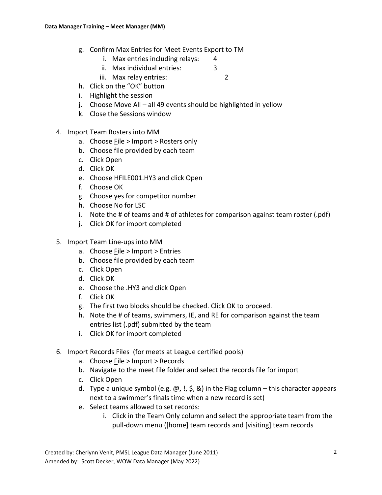- g. Confirm Max Entries for Meet Events Export to TM
	- i. Max entries including relays: 4
	- ii. Max individual entries: 3
	- iii. Max relay entries: 2
- h. Click on the "OK" button
- i. Highlight the session
- j. Choose Move All all 49 events should be highlighted in yellow
- k. Close the Sessions window
- <span id="page-4-0"></span>4. Import Team Rosters into MM
	- a. Choose File > Import > Rosters only
	- b. Choose file provided by each team
	- c. Click Open
	- d. Click OK
	- e. Choose HFILE001.HY3 and click Open
	- f. Choose OK
	- g. Choose yes for competitor number
	- h. Choose No for LSC
	- i. Note the # of teams and # of athletes for comparison against team roster (.pdf)
	- j. Click OK for import completed
- <span id="page-4-1"></span>5. Import Team Line-ups into MM
	- a. Choose File > Import > Entries
	- b. Choose file provided by each team
	- c. Click Open
	- d. Click OK
	- e. Choose the .HY3 and click Open
	- f. Click OK
	- g. The first two blocks should be checked. Click OK to proceed.
	- h. Note the # of teams, swimmers, IE, and RE for comparison against the team entries list (.pdf) submitted by the team
	- i. Click OK for import completed
- <span id="page-4-2"></span>6. Import Records Files (for meets at League certified pools)
	- a. Choose File > Import > Records
	- b. Navigate to the meet file folder and select the records file for import
	- c. Click Open
	- d. Type a unique symbol (e.g.  $\omega$ , !, \$, &) in the Flag column this character appears next to a swimmer's finals time when a new record is set)
	- e. Select teams allowed to set records:
		- i. Click in the Team Only column and select the appropriate team from the pull-down menu ([home] team records and [visiting] team records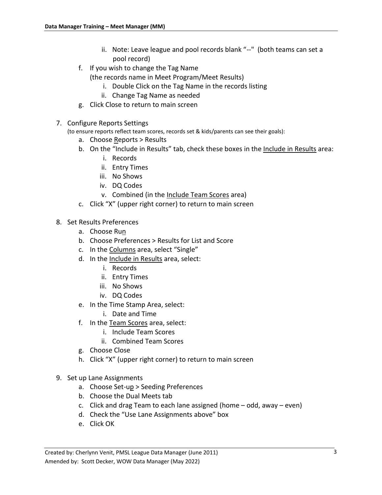- ii. Note: Leave league and pool records blank "--" (both teams can set a pool record)
- f. If you wish to change the Tag Name

(the records name in Meet Program/Meet Results)

- i. Double Click on the Tag Name in the records listing
- ii. Change Tag Name as needed
- g. Click Close to return to main screen
- <span id="page-5-0"></span>7. Configure Reports Settings

(to ensure reports reflect team scores, records set & kids/parents can see their goals):

- a. Choose Reports > Results
- b. On the "Include in Results" tab, check these boxes in the Include in Results area:
	- i. Records
	- ii. Entry Times
	- iii. No Shows
	- iv. DQ Codes
	- v. Combined (in the Include Team Scores area)
- c. Click "X" (upper right corner) to return to main screen
- <span id="page-5-1"></span>8. Set Results Preferences
	- a. Choose Run
	- b. Choose Preferences > Results for List and Score
	- c. In the Columns area, select "Single"
	- d. In the Include in Results area, select:
		- i. Records
		- ii. Entry Times
		- iii. No Shows
		- iv. DQ Codes
	- e. In the Time Stamp Area, select:
		- i. Date and Time
	- f. In the Team Scores area, select:
		- i. Include Team Scores
		- ii. Combined Team Scores
	- g. Choose Close
	- h. Click "X" (upper right corner) to return to main screen
- <span id="page-5-2"></span>9. Set up Lane Assignments
	- a. Choose Set-up > Seeding Preferences
	- b. Choose the Dual Meets tab
	- c. Click and drag Team to each lane assigned (home odd, away even)
	- d. Check the "Use Lane Assignments above" box
	- e. Click OK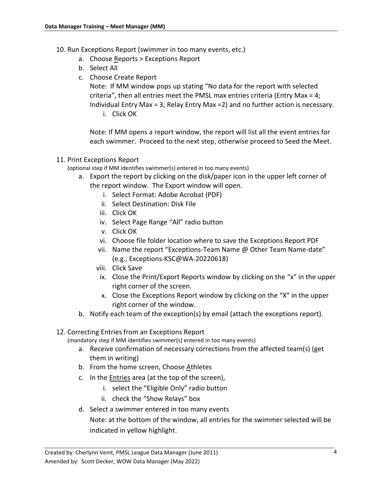- <span id="page-6-0"></span>10. Run Exceptions Report (swimmer in too many events, etc.)
	- a. Choose Reports > Exceptions Report
	- b. Select All
	- c. Choose Create Report

Note: If MM window pops up stating "No data for the report with selected criteria", then all entries meet the PMSL max entries criteria (Entry Max = 4; Individual Entry Max = 3; Relay Entry Max =2) and no further action is necessary. i. Click OK

Note: If MM opens a report window, the report will list all the event entries for each swimmer. Proceed to the next step, otherwise proceed to Seed the Meet.

## <span id="page-6-1"></span>11. Print Exceptions Report

(optional step if MM identifies swimmer(s) entered in too many events)

- a. Export the report by clicking on the disk/paper icon in the upper left corner of the report window. The Export window will open.
	- i. Select Format: Adobe Acrobat (PDF)
	- ii. Select Destination: Disk File
	- iii. Click OK
	- iv. Select Page Range "All" radio button
	- v. Click OK
	- vi. Choose file folder location where to save the Exceptions Report PDF
	- vii. Name the report "Exceptions-Team Name @ Other Team Name-date" (e.g., Exceptions-KSC@WA-20220618)
	- viii. Click Save
	- ix. Close the Print/Export Reports window by clicking on the "x" in the upper right corner of the screen.
	- x. Close the Exceptions Report window by clicking on the "X" in the upper right corner of the window.
- b. Notify each team of the exception(s) by email (attach the exceptions report).

## <span id="page-6-2"></span>12. Correcting Entries from an Exceptions Report

(mandatory step if MM identifies swimmer(s) entered in too many events)

- a. Receive confirmation of necessary corrections from the affected team(s) (get them in writing)
- b. From the home screen, Choose Athletes
- c. In the **Entries** area (at the top of the screen),
	- i. select the "Eligible Only" radio button
	- ii. check the "Show Relays" box
- d. Select a swimmer entered in too many events

Note: at the bottom of the window, all entries for the swimmer selected will be indicated in yellow highlight.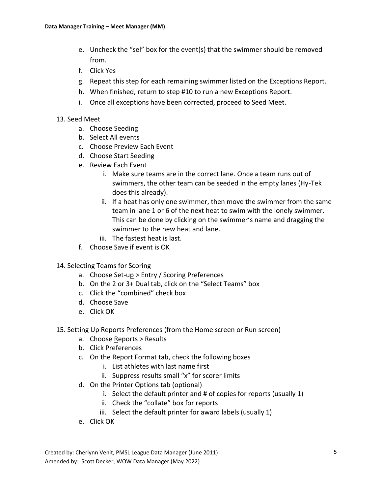- e. Uncheck the "sel" box for the event(s) that the swimmer should be removed from.
- f. Click Yes
- g. Repeat this step for each remaining swimmer listed on the Exceptions Report.
- h. When finished, return to step #10 to run a new Exceptions Report.
- i. Once all exceptions have been corrected, proceed to Seed Meet.
- <span id="page-7-0"></span>13. Seed Meet
	- a. Choose Seeding
	- b. Select All events
	- c. Choose Preview Each Event
	- d. Choose Start Seeding
	- e. Review Each Event
		- i. Make sure teams are in the correct lane. Once a team runs out of swimmers, the other team can be seeded in the empty lanes (Hy-Tek does this already).
		- ii. If a heat has only one swimmer, then move the swimmer from the same team in lane 1 or 6 of the next heat to swim with the lonely swimmer. This can be done by clicking on the swimmer's name and dragging the swimmer to the new heat and lane.
		- iii. The fastest heat is last.
	- f. Choose Save if event is OK
- <span id="page-7-1"></span>14. Selecting Teams for Scoring
	- a. Choose Set-up > Entry / Scoring Preferences
	- b. On the 2 or 3+ Dual tab, click on the "Select Teams" box
	- c. Click the "combined" check box
	- d. Choose Save
	- e. Click OK
- <span id="page-7-2"></span>15. Setting Up Reports Preferences (from the Home screen or Run screen)
	- a. Choose Reports > Results
	- b. Click Preferences
	- c. On the Report Format tab, check the following boxes
		- i. List athletes with last name first
		- ii. Suppress results small "x" for scorer limits
	- d. On the Printer Options tab (optional)
		- i. Select the default printer and # of copies for reports (usually 1)
		- ii. Check the "collate" box for reports
		- iii. Select the default printer for award labels (usually 1)
	- e. Click OK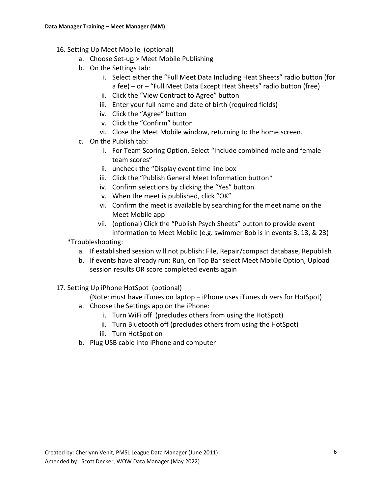- <span id="page-8-0"></span>16. Setting Up Meet Mobile (optional)
	- a. Choose Set-up > Meet Mobile Publishing
	- b. On the Settings tab:
		- i. Select either the "Full Meet Data Including Heat Sheets" radio button (for a fee) – or – "Full Meet Data Except Heat Sheets" radio button (free)
		- ii. Click the "View Contract to Agree" button
		- iii. Enter your full name and date of birth (required fields)
		- iv. Click the "Agree" button
		- v. Click the "Confirm" button
		- vi. Close the Meet Mobile window, returning to the home screen.
	- c. On the Publish tab:
		- i. For Team Scoring Option, Select "Include combined male and female team scores"
		- ii. uncheck the "Display event time line box
		- iii. Click the "Publish General Meet Information button\*
		- iv. Confirm selections by clicking the "Yes" button
		- v. When the meet is published, click "OK"
		- vi. Confirm the meet is available by searching for the meet name on the Meet Mobile app
		- vii. (optional) Click the "Publish Psych Sheets" button to provide event information to Meet Mobile (e.g. swimmer Bob is in events 3, 13, & 23)
	- \*Troubleshooting:
		- a. If established session will not publish: File, Repair/compact database, Republish
		- b. If events have already run: Run, on Top Bar select Meet Mobile Option, Upload session results OR score completed events again
- <span id="page-8-1"></span>17. Setting Up iPhone HotSpot (optional)
	- (Note: must have iTunes on laptop iPhone uses iTunes drivers for HotSpot)
	- a. Choose the Settings app on the iPhone:
		- i. Turn WiFi off (precludes others from using the HotSpot)
		- ii. Turn Bluetooth off (precludes others from using the HotSpot)
		- iii. Turn HotSpot on
	- b. Plug USB cable into iPhone and computer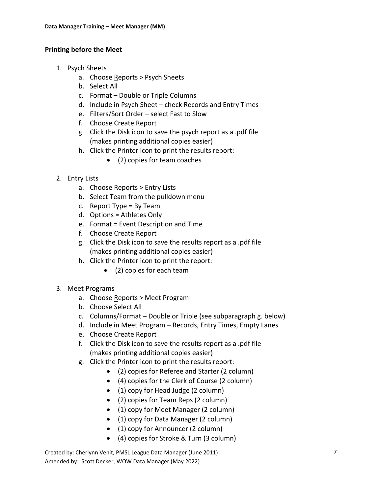## <span id="page-9-0"></span>**Printing before the Meet**

- <span id="page-9-1"></span>1. Psych Sheets
	- a. Choose Reports > Psych Sheets
	- b. Select All
	- c. Format Double or Triple Columns
	- d. Include in Psych Sheet check Records and Entry Times
	- e. Filters/Sort Order select Fast to Slow
	- f. Choose Create Report
	- g. Click the Disk icon to save the psych report as a .pdf file (makes printing additional copies easier)
	- h. Click the Printer icon to print the results report:
		- (2) copies for team coaches
- <span id="page-9-2"></span>2. Entry Lists
	- a. Choose Reports > Entry Lists
	- b. Select Team from the pulldown menu
	- c. Report Type = By Team
	- d. Options = Athletes Only
	- e. Format = Event Description and Time
	- f. Choose Create Report
	- g. Click the Disk icon to save the results report as a .pdf file (makes printing additional copies easier)
	- h. Click the Printer icon to print the report:
		- (2) copies for each team
- <span id="page-9-3"></span>3. Meet Programs
	- a. Choose Reports > Meet Program
	- b. Choose Select All
	- c. Columns/Format Double or Triple (see subparagraph g. below)
	- d. Include in Meet Program Records, Entry Times, Empty Lanes
	- e. Choose Create Report
	- f. Click the Disk icon to save the results report as a .pdf file (makes printing additional copies easier)
	- g. Click the Printer icon to print the results report:
		- (2) copies for Referee and Starter (2 column)
		- (4) copies for the Clerk of Course (2 column)
		- (1) copy for Head Judge (2 column)
		- (2) copies for Team Reps (2 column)
		- (1) copy for Meet Manager (2 column)
		- (1) copy for Data Manager (2 column)
		- (1) copy for Announcer (2 column)
		- (4) copies for Stroke & Turn (3 column)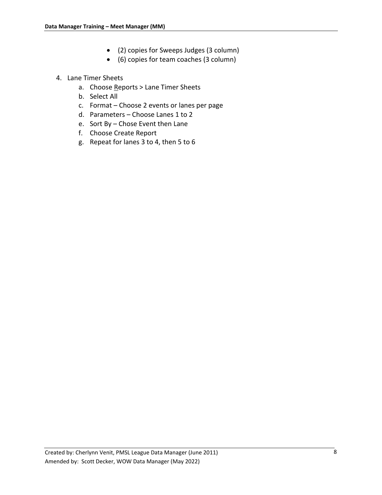- (2) copies for Sweeps Judges (3 column)
- (6) copies for team coaches (3 column)

## <span id="page-10-0"></span>4. Lane Timer Sheets

- a. Choose Reports > Lane Timer Sheets
- b. Select All
- c. Format Choose 2 events or lanes per page
- d. Parameters Choose Lanes 1 to 2
- e. Sort By Chose Event then Lane
- f. Choose Create Report
- g. Repeat for lanes 3 to 4, then 5 to 6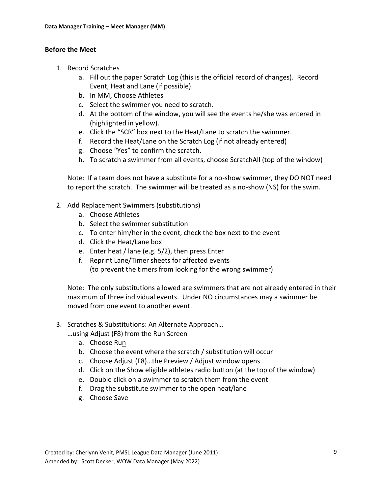## <span id="page-11-0"></span>**Before the Meet**

- <span id="page-11-1"></span>1. Record Scratches
	- a. Fill out the paper Scratch Log (this is the official record of changes). Record Event, Heat and Lane (if possible).
	- b. In MM, Choose Athletes
	- c. Select the swimmer you need to scratch.
	- d. At the bottom of the window, you will see the events he/she was entered in (highlighted in yellow).
	- e. Click the "SCR" box next to the Heat/Lane to scratch the swimmer.
	- f. Record the Heat/Lane on the Scratch Log (if not already entered)
	- g. Choose "Yes" to confirm the scratch.
	- h. To scratch a swimmer from all events, choose ScratchAll (top of the window)

Note: If a team does not have a substitute for a no-show swimmer, they DO NOT need to report the scratch. The swimmer will be treated as a no-show (NS) for the swim.

- <span id="page-11-2"></span>2. Add Replacement Swimmers (substitutions)
	- a. Choose Athletes
	- b. Select the swimmer substitution
	- c. To enter him/her in the event, check the box next to the event
	- d. Click the Heat/Lane box
	- e. Enter heat / lane (e.g. 5/2), then press Enter
	- f. Reprint Lane/Timer sheets for affected events (to prevent the timers from looking for the wrong swimmer)

Note: The only substitutions allowed are swimmers that are not already entered in their maximum of three individual events. Under NO circumstances may a swimmer be moved from one event to another event.

- <span id="page-11-3"></span>3. Scratches & Substitutions: An Alternate Approach…
	- …using Adjust (F8) from the Run Screen
		- a. Choose Run
		- b. Choose the event where the scratch / substitution will occur
		- c. Choose Adjust (F8)…the Preview / Adjust window opens
		- d. Click on the Show eligible athletes radio button (at the top of the window)
		- e. Double click on a swimmer to scratch them from the event
		- f. Drag the substitute swimmer to the open heat/lane
		- g. Choose Save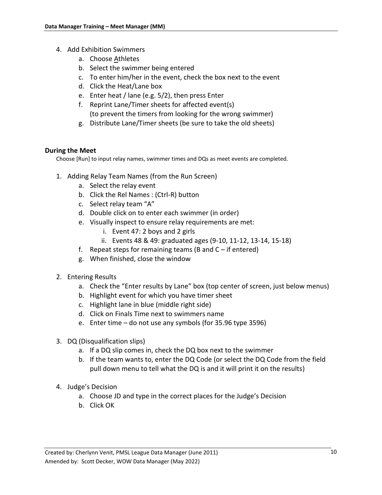- <span id="page-12-0"></span>4. Add Exhibition Swimmers
	- a. Choose Athletes
	- b. Select the swimmer being entered
	- c. To enter him/her in the event, check the box next to the event
	- d. Click the Heat/Lane box
	- e. Enter heat / lane (e.g. 5/2), then press Enter
	- f. Reprint Lane/Timer sheets for affected event(s) (to prevent the timers from looking for the wrong swimmer)
	- g. Distribute Lane/Timer sheets (be sure to take the old sheets)

### <span id="page-12-1"></span>**During the Meet**

Choose [Run] to input relay names, swimmer times and DQs as meet events are completed.

- <span id="page-12-2"></span>1. Adding Relay Team Names (from the Run Screen)
	- a. Select the relay event
	- b. Click the Rel Names : (Ctrl-R) button
	- c. Select relay team "A"
	- d. Double click on to enter each swimmer (in order)
	- e. Visually inspect to ensure relay requirements are met:
		- i. Event 47: 2 boys and 2 girls
		- ii. Events 48 & 49: graduated ages (9-10, 11-12, 13-14, 15-18)
	- f. Repeat steps for remaining teams (B and  $C if$  entered)
	- g. When finished, close the window
- <span id="page-12-3"></span>2. Entering Results
	- a. Check the "Enter results by Lane" box (top center of screen, just below menus)
	- b. Highlight event for which you have timer sheet
	- c. Highlight lane in blue (middle right side)
	- d. Click on Finals Time next to swimmers name
	- e. Enter time do not use any symbols (for 35.96 type 3596)
- <span id="page-12-4"></span>3. DQ (Disqualification slips)
	- a. If a DQ slip comes in, check the DQ box next to the swimmer
	- b. If the team wants to, enter the DQ Code (or select the DQ Code from the field pull down menu to tell what the DQ is and it will print it on the results)
- <span id="page-12-5"></span>4. Judge's Decision
	- a. Choose JD and type in the correct places for the Judge's Decision
	- b. Click OK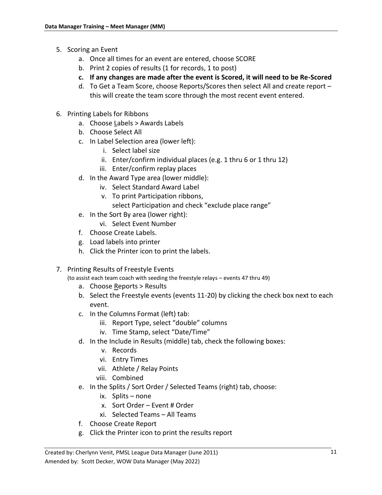- <span id="page-13-0"></span>5. Scoring an Event
	- a. Once all times for an event are entered, choose SCORE
	- b. Print 2 copies of results (1 for records, 1 to post)
	- **c. If any changes are made after the event is Scored, it will need to be Re-Scored**
	- d. To Get a Team Score, choose Reports/Scores then select All and create report this will create the team score through the most recent event entered.
- <span id="page-13-1"></span>6. Printing Labels for Ribbons
	- a. Choose Labels > Awards Labels
	- b. Choose Select All
	- c. In Label Selection area (lower left):
		- i. Select label size
		- ii. Enter/confirm individual places (e.g. 1 thru 6 or 1 thru 12)
		- iii. Enter/confirm replay places
	- d. In the Award Type area (lower middle):
		- iv. Select Standard Award Label
		- v. To print Participation ribbons,
			- select Participation and check "exclude place range"
	- e. In the Sort By area (lower right):
		- vi. Select Event Number
	- f. Choose Create Labels.
	- g. Load labels into printer
	- h. Click the Printer icon to print the labels.
- <span id="page-13-2"></span>7. Printing Results of Freestyle Events

(to assist each team coach with seeding the freestyle relays – events 47 thru 49)

- a. Choose Reports > Results
- b. Select the Freestyle events (events 11-20) by clicking the check box next to each event.
- c. In the Columns Format (left) tab:
	- iii. Report Type, select "double" columns
	- iv. Time Stamp, select "Date/Time"
- d. In the Include in Results (middle) tab, check the following boxes:
	- v. Records
	- vi. Entry Times
	- vii. Athlete / Relay Points
	- viii. Combined
- e. In the Splits / Sort Order / Selected Teams (right) tab, choose:
	- ix. Splits none
	- x. Sort Order Event # Order
	- xi. Selected Teams All Teams
- f. Choose Create Report
- g. Click the Printer icon to print the results report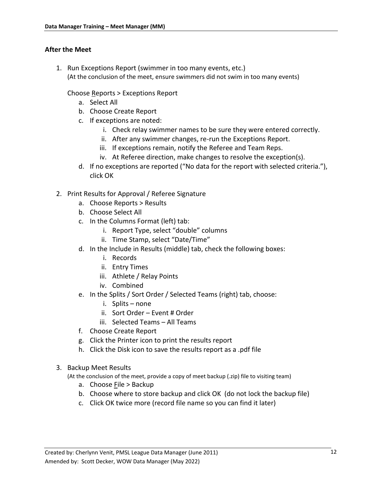## <span id="page-14-0"></span>**After the Meet**

<span id="page-14-1"></span>1. Run Exceptions Report (swimmer in too many events, etc.) (At the conclusion of the meet, ensure swimmers did not swim in too many events)

Choose Reports > Exceptions Report

- a. Select All
- b. Choose Create Report
- c. If exceptions are noted:
	- i. Check relay swimmer names to be sure they were entered correctly.
	- ii. After any swimmer changes, re-run the Exceptions Report.
	- iii. If exceptions remain, notify the Referee and Team Reps.
	- iv. At Referee direction, make changes to resolve the exception(s).
- d. If no exceptions are reported ("No data for the report with selected criteria."), click OK
- <span id="page-14-2"></span>2. Print Results for Approval / Referee Signature
	- a. Choose Reports > Results
	- b. Choose Select All
	- c. In the Columns Format (left) tab:
		- i. Report Type, select "double" columns
		- ii. Time Stamp, select "Date/Time"
	- d. In the Include in Results (middle) tab, check the following boxes:
		- i. Records
		- ii. Entry Times
		- iii. Athlete / Relay Points
		- iv. Combined
	- e. In the Splits / Sort Order / Selected Teams (right) tab, choose:
		- i. Splits none
		- ii. Sort Order Event # Order
		- iii. Selected Teams All Teams
	- f. Choose Create Report
	- g. Click the Printer icon to print the results report
	- h. Click the Disk icon to save the results report as a .pdf file
- <span id="page-14-3"></span>3. Backup Meet Results

(At the conclusion of the meet, provide a copy of meet backup (.zip) file to visiting team)

- a. Choose File > Backup
- b. Choose where to store backup and click OK (do not lock the backup file)
- c. Click OK twice more (record file name so you can find it later)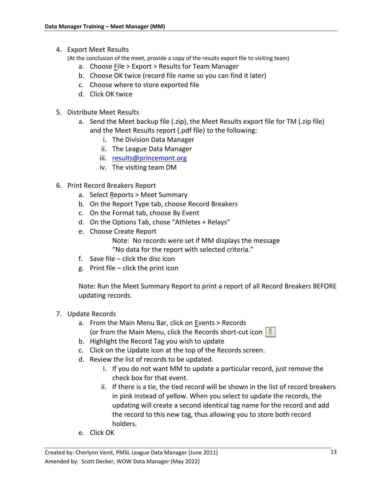<span id="page-15-0"></span>4. Export Meet Results

(At the conclusion of the meet, provide a copy of the results export file to visiting team)

- a. Choose  $Eile > E$ xport > Results for Team Manager
- b. Choose OK twice (record file name so you can find it later)
- c. Choose where to store exported file
- d. Click OK twice
- <span id="page-15-1"></span>5. Distribute Meet Results
	- a. Send the Meet backup file (.zip), the Meet Results export file for TM (.zip file) and the Meet Results report (.pdf file) to the following:
		- i. The Division Data Manager
		- ii. The League Data Manager
		- iii. [results@princemont.org](mailto:results@princemont.org)
		- iv. The visiting team DM
- <span id="page-15-2"></span>6. Print Record Breakers Report
	- a. Select Reports > Meet Summary
	- b. On the Report Type tab, choose Record Breakers
	- c. On the Format tab, choose By Event
	- d. On the Options Tab, chose "Athletes + Relays"
	- e. Choose Create Report Note: No records were set if MM displays the message "No data for the report with selected criteria."
	- f. Save file click the disc icon
	- g. Print file click the print icon

Note: Run the Meet Summary Report to print a report of all Record Breakers BEFORE updating records.

- <span id="page-15-3"></span>7. Update Records
	- a. From the Main Menu Bar, click on Events > Records (or from the Main Menu, click the Records short-cut icon  $\|\cdot\|$
	- b. Highlight the Record Tag you wish to update
	- c. Click on the Update icon at the top of the Records screen.
	- d. Review the list of records to be updated.
		- i. If you do not want MM to update a particular record, just remove the check box for that event.
		- ii. If there is a tie, the tied record will be shown in the list of record breakers in pink instead of yellow. When you select to update the records, the updating will create a second identical tag name for the record and add the record to this new tag, thus allowing you to store both record holders.
	- e. Click OK